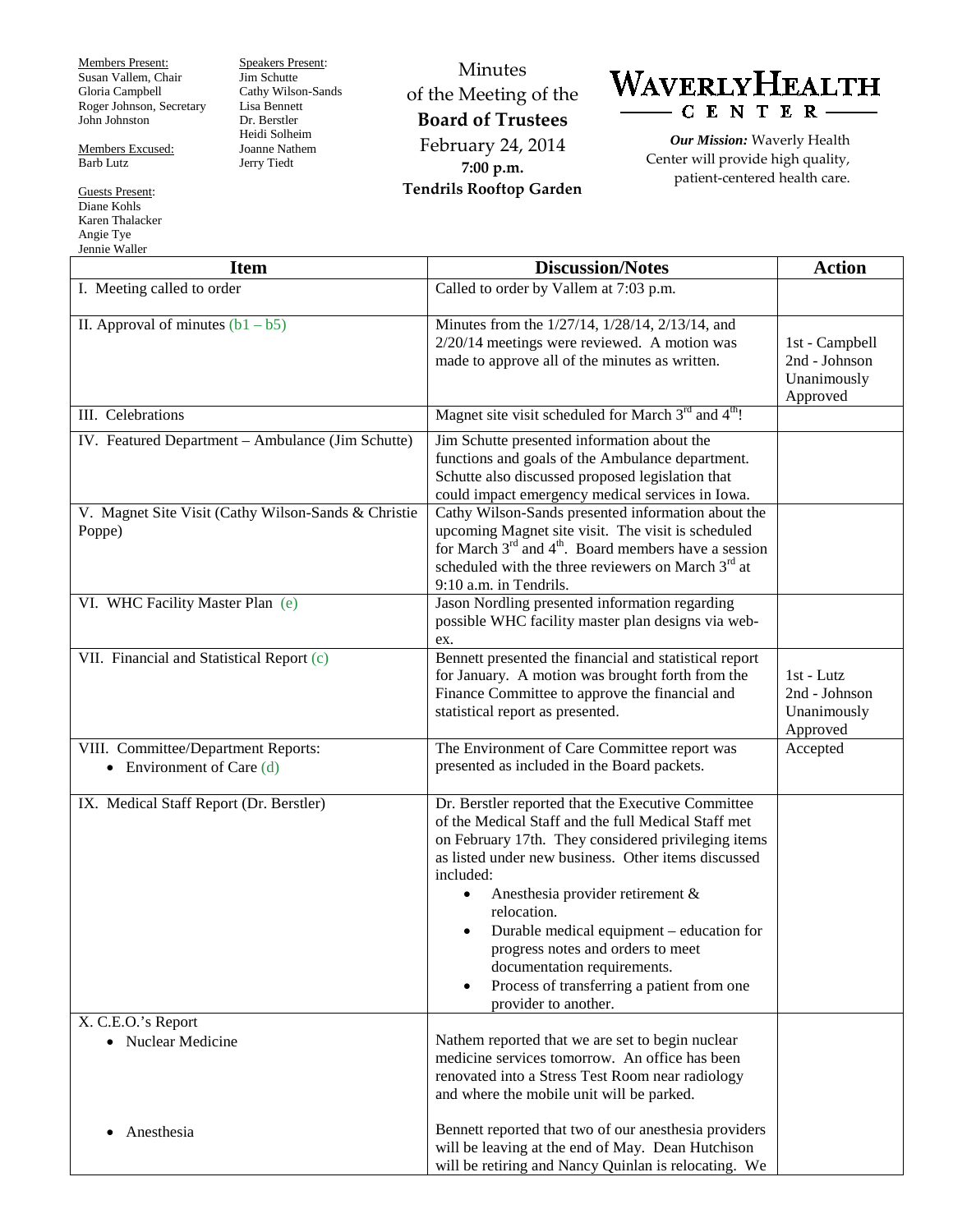Members Present: Susan Vallem, Chair Gloria Campbell Roger Johnson, Secretary John Johnston

Members Excused: Barb Lutz

Guests Present: Diane Kohls Karen Thalacker Angie Tye

Speakers Present: Jim Schutte Cathy Wilson-Sands Lisa Bennett Dr. Berstler Heidi Solheim Joanne Nathem Jerry Tiedt

Minutes of the Meeting of the **Board of Trustees** February 24, 2014 **7:00 p.m. Tendrils Rooftop Garden**



*Our Mission:* Waverly Health Center will provide high quality, patient-centered health care.

| Jennie Waller                                                               |                                                                                                                                                                                                                                                                                                                                                                                                                                                                                                                       |                                                            |
|-----------------------------------------------------------------------------|-----------------------------------------------------------------------------------------------------------------------------------------------------------------------------------------------------------------------------------------------------------------------------------------------------------------------------------------------------------------------------------------------------------------------------------------------------------------------------------------------------------------------|------------------------------------------------------------|
| <b>Item</b>                                                                 | <b>Discussion/Notes</b>                                                                                                                                                                                                                                                                                                                                                                                                                                                                                               | <b>Action</b>                                              |
| I. Meeting called to order                                                  | Called to order by Vallem at 7:03 p.m.                                                                                                                                                                                                                                                                                                                                                                                                                                                                                |                                                            |
| II. Approval of minutes $(b1 - b5)$                                         | Minutes from the 1/27/14, 1/28/14, 2/13/14, and<br>$2/20/14$ meetings were reviewed. A motion was<br>made to approve all of the minutes as written.                                                                                                                                                                                                                                                                                                                                                                   | 1st - Campbell<br>2nd - Johnson<br>Unanimously<br>Approved |
| III. Celebrations                                                           | Magnet site visit scheduled for March $3rd$ and $4th$ !                                                                                                                                                                                                                                                                                                                                                                                                                                                               |                                                            |
| IV. Featured Department - Ambulance (Jim Schutte)                           | Jim Schutte presented information about the<br>functions and goals of the Ambulance department.<br>Schutte also discussed proposed legislation that<br>could impact emergency medical services in Iowa.                                                                                                                                                                                                                                                                                                               |                                                            |
| V. Magnet Site Visit (Cathy Wilson-Sands & Christie<br>Poppe)               | Cathy Wilson-Sands presented information about the<br>upcoming Magnet site visit. The visit is scheduled<br>for March 3 <sup>rd</sup> and 4 <sup>th</sup> . Board members have a session<br>scheduled with the three reviewers on March 3rd at<br>9:10 a.m. in Tendrils.                                                                                                                                                                                                                                              |                                                            |
| VI. WHC Facility Master Plan (e)                                            | Jason Nordling presented information regarding<br>possible WHC facility master plan designs via web-<br>ex.                                                                                                                                                                                                                                                                                                                                                                                                           |                                                            |
| VII. Financial and Statistical Report (c)                                   | Bennett presented the financial and statistical report<br>for January. A motion was brought forth from the<br>Finance Committee to approve the financial and<br>statistical report as presented.                                                                                                                                                                                                                                                                                                                      | 1st - Lutz<br>2nd - Johnson<br>Unanimously<br>Approved     |
| VIII. Committee/Department Reports:<br>Environment of Care (d)<br>$\bullet$ | The Environment of Care Committee report was<br>presented as included in the Board packets.                                                                                                                                                                                                                                                                                                                                                                                                                           | Accepted                                                   |
| IX. Medical Staff Report (Dr. Berstler)                                     | Dr. Berstler reported that the Executive Committee<br>of the Medical Staff and the full Medical Staff met<br>on February 17th. They considered privileging items<br>as listed under new business. Other items discussed<br>included:<br>Anesthesia provider retirement &<br>$\bullet$<br>relocation.<br>Durable medical equipment – education for<br>$\bullet$<br>progress notes and orders to meet<br>documentation requirements.<br>Process of transferring a patient from one<br>$\bullet$<br>provider to another. |                                                            |
| X. C.E.O.'s Report<br>• Nuclear Medicine                                    | Nathem reported that we are set to begin nuclear<br>medicine services tomorrow. An office has been<br>renovated into a Stress Test Room near radiology<br>and where the mobile unit will be parked.                                                                                                                                                                                                                                                                                                                   |                                                            |
| Anesthesia                                                                  | Bennett reported that two of our anesthesia providers<br>will be leaving at the end of May. Dean Hutchison<br>will be retiring and Nancy Quinlan is relocating. We                                                                                                                                                                                                                                                                                                                                                    |                                                            |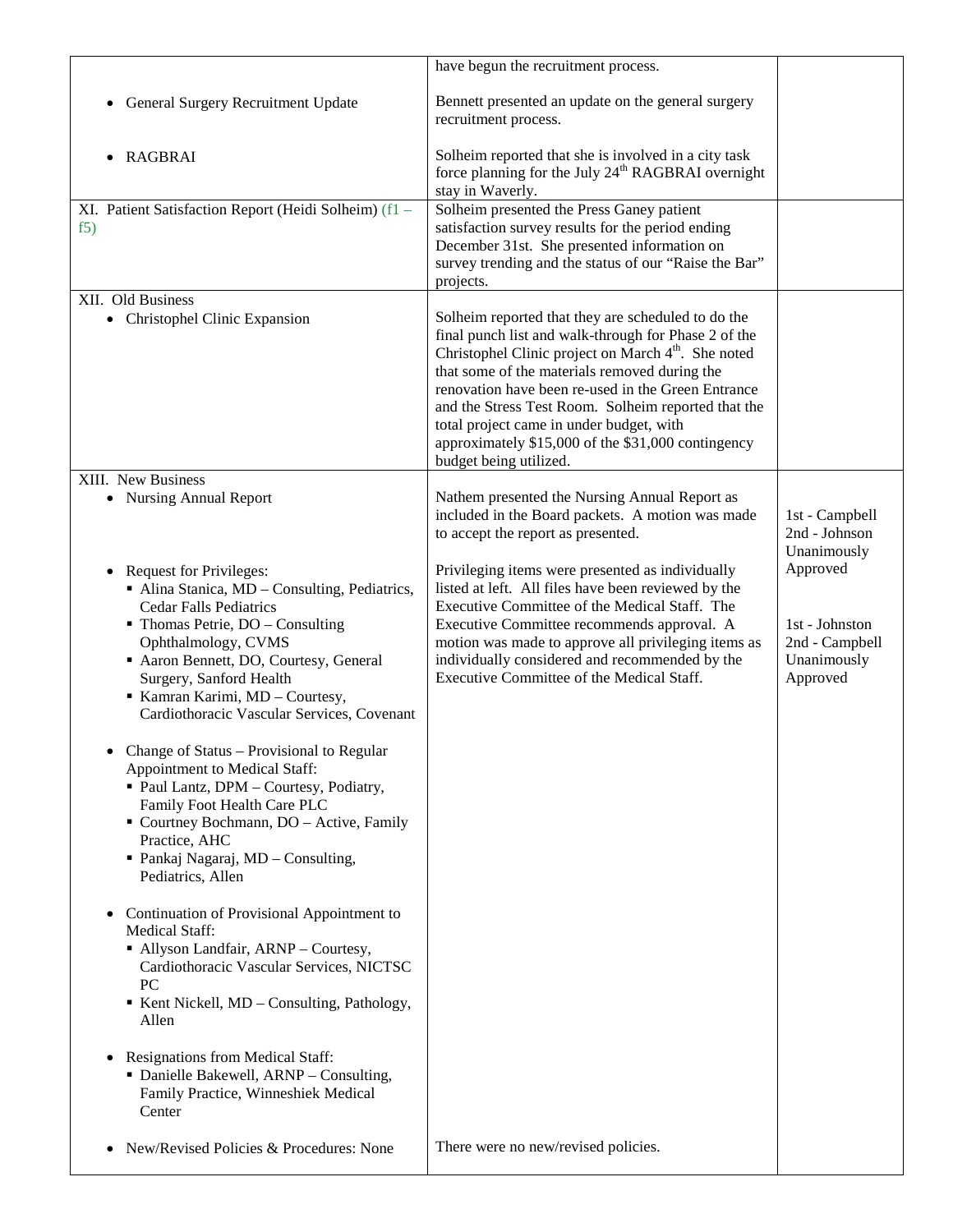|                                                                                                                                                                                                                                                                                                                                     | have begun the recruitment process.                                                                                                                                                                                                                                                                                                                                                                                                                                     |                                                                         |
|-------------------------------------------------------------------------------------------------------------------------------------------------------------------------------------------------------------------------------------------------------------------------------------------------------------------------------------|-------------------------------------------------------------------------------------------------------------------------------------------------------------------------------------------------------------------------------------------------------------------------------------------------------------------------------------------------------------------------------------------------------------------------------------------------------------------------|-------------------------------------------------------------------------|
| General Surgery Recruitment Update                                                                                                                                                                                                                                                                                                  | Bennett presented an update on the general surgery<br>recruitment process.                                                                                                                                                                                                                                                                                                                                                                                              |                                                                         |
| <b>RAGBRAI</b><br>$\bullet$                                                                                                                                                                                                                                                                                                         | Solheim reported that she is involved in a city task<br>force planning for the July 24 <sup>th</sup> RAGBRAI overnight<br>stay in Waverly.                                                                                                                                                                                                                                                                                                                              |                                                                         |
| XI. Patient Satisfaction Report (Heidi Solheim) (f1 -<br>f5)                                                                                                                                                                                                                                                                        | Solheim presented the Press Ganey patient<br>satisfaction survey results for the period ending<br>December 31st. She presented information on<br>survey trending and the status of our "Raise the Bar"<br>projects.                                                                                                                                                                                                                                                     |                                                                         |
| XII. Old Business<br>Christophel Clinic Expansion<br>$\bullet$                                                                                                                                                                                                                                                                      | Solheim reported that they are scheduled to do the<br>final punch list and walk-through for Phase 2 of the<br>Christophel Clinic project on March 4 <sup>th</sup> . She noted<br>that some of the materials removed during the<br>renovation have been re-used in the Green Entrance<br>and the Stress Test Room. Solheim reported that the<br>total project came in under budget, with<br>approximately \$15,000 of the \$31,000 contingency<br>budget being utilized. |                                                                         |
| XIII. New Business                                                                                                                                                                                                                                                                                                                  |                                                                                                                                                                                                                                                                                                                                                                                                                                                                         |                                                                         |
| <b>Nursing Annual Report</b><br>$\bullet$                                                                                                                                                                                                                                                                                           | Nathem presented the Nursing Annual Report as<br>included in the Board packets. A motion was made<br>to accept the report as presented.                                                                                                                                                                                                                                                                                                                                 | 1st - Campbell<br>2nd - Johnson<br>Unanimously                          |
| Request for Privileges:<br>· Alina Stanica, MD - Consulting, Pediatrics,<br><b>Cedar Falls Pediatrics</b><br>$\blacksquare$ Thomas Petrie, DO – Consulting<br>Ophthalmology, CVMS<br>Aaron Bennett, DO, Courtesy, General<br>Surgery, Sanford Health<br>Kamran Karimi, MD - Courtesy,<br>Cardiothoracic Vascular Services, Covenant | Privileging items were presented as individually<br>listed at left. All files have been reviewed by the<br>Executive Committee of the Medical Staff. The<br>Executive Committee recommends approval. A<br>motion was made to approve all privileging items as<br>individually considered and recommended by the<br>Executive Committee of the Medical Staff.                                                                                                            | Approved<br>1st - Johnston<br>2nd - Campbell<br>Unanimously<br>Approved |
| Change of Status - Provisional to Regular<br>Appointment to Medical Staff:<br>• Paul Lantz, DPM - Courtesy, Podiatry,<br>Family Foot Health Care PLC<br>Courtney Bochmann, DO - Active, Family<br>Practice, AHC<br>• Pankaj Nagaraj, MD - Consulting,<br>Pediatrics, Allen                                                          |                                                                                                                                                                                                                                                                                                                                                                                                                                                                         |                                                                         |
| Continuation of Provisional Appointment to<br>$\bullet$<br><b>Medical Staff:</b><br>• Allyson Landfair, ARNP - Courtesy,<br>Cardiothoracic Vascular Services, NICTSC<br>PC<br>Kent Nickell, MD - Consulting, Pathology,<br>Allen                                                                                                    |                                                                                                                                                                                                                                                                                                                                                                                                                                                                         |                                                                         |
| <b>Resignations from Medical Staff:</b><br>$\bullet$<br>• Danielle Bakewell, ARNP - Consulting,<br>Family Practice, Winneshiek Medical<br>Center                                                                                                                                                                                    |                                                                                                                                                                                                                                                                                                                                                                                                                                                                         |                                                                         |
| New/Revised Policies & Procedures: None                                                                                                                                                                                                                                                                                             | There were no new/revised policies.                                                                                                                                                                                                                                                                                                                                                                                                                                     |                                                                         |